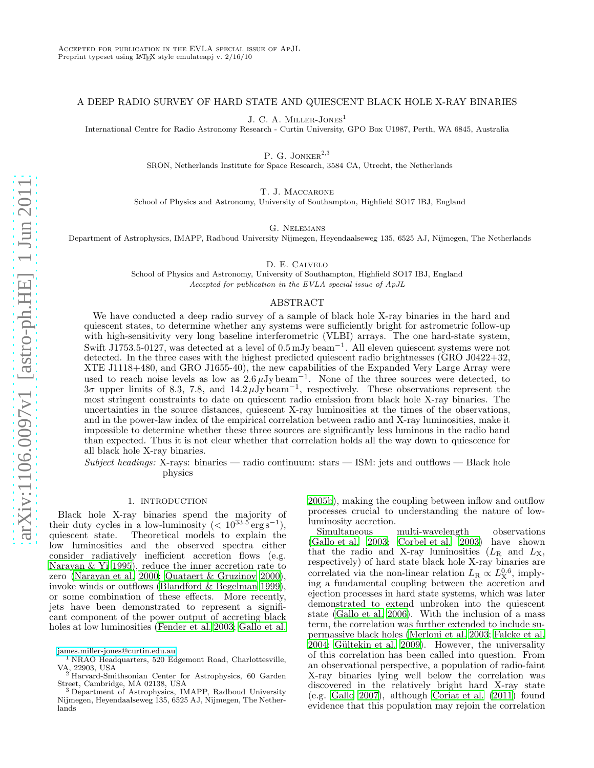## A DEEP RADIO SURVEY OF HARD STATE AND QUIESCENT BLACK HOLE X-RAY BINARIES

J. C. A. MILLER-JONES<sup>1</sup>

International Centre for Radio Astronomy Research - Curtin University, GPO Box U1987, Perth, WA 6845, Australia

P. G. JONKER $^{2,3}$ 

SRON, Netherlands Institute for Space Research, 3584 CA, Utrecht, the Netherlands

T. J. Maccarone

School of Physics and Astronomy, University of Southampton, Highfield SO17 IBJ, England

G. Nelemans

Department of Astrophysics, IMAPP, Radboud University Nijmegen, Heyendaalseweg 135, 6525 AJ, Nijmegen, The Netherlands

D. E. Calvelo

School of Physics and Astronomy, University of Southampton, Highfield SO17 IBJ, England Accepted for publication in the EVLA special issue of ApJL

## ABSTRACT

We have conducted a deep radio survey of a sample of black hole X-ray binaries in the hard and quiescent states, to determine whether any systems were sufficiently bright for astrometric follow-up with high-sensitivity very long baseline interferometric (VLBI) arrays. The one hard-state system, Swift J1753.5-0127, was detected at a level of 0.5 mJy beam<sup>−</sup><sup>1</sup> . All eleven quiescent systems were not detected. In the three cases with the highest predicted quiescent radio brightnesses (GRO J0422+32, XTE J1118+480, and GRO J1655-40), the new capabilities of the Expanded Very Large Array were used to reach noise levels as low as  $2.6 \,\mu\text{Jy beam}^{-1}$ . None of the three sources were detected, to  $3\sigma$  upper limits of 8.3, 7.8, and 14.2  $\mu\text{Jy beam}^{-1}$ , respectively. These observations represent the most stringent constraints to date on quiescent radio emission from black hole X-ray binaries. The uncertainties in the source distances, quiescent X-ray luminosities at the times of the observations, and in the power-law index of the empirical correlation between radio and X-ray luminosities, make it impossible to determine whether these three sources are significantly less luminous in the radio band than expected. Thus it is not clear whether that correlation holds all the way down to quiescence for all black hole X-ray binaries.

Subject headings: X-rays: binaries — radio continuum: stars — ISM: jets and outflows — Black hole physics

#### 1. INTRODUCTION

<span id="page-0-0"></span>Black hole X-ray binaries spend the majority of their duty cycles in a low-luminosity  $(< 10^{33.5} \text{ erg s}^{-1})$ , quiescent state. Theoretical models to explain the low luminosities and the observed spectra either consider radiatively inefficient accretion flows (e.g. [Narayan & Yi 1995\)](#page-5-0), reduce the inner accretion rate to zero [\(Narayan et al. 2000](#page-5-1); [Quataert & Gruzinov 2000\)](#page-5-2), invoke winds or outflows [\(Blandford & Begelman 1999\)](#page-5-3), or some combination of these effects. More recently, jets have been demonstrated to represent a significant component of the power output of accreting black holes at low luminosities [\(Fender et al. 2003;](#page-5-4) [Gallo et al.](#page-5-5)

[2005b](#page-5-5)), making the coupling between inflow and outflow processes crucial to understanding the nature of lowluminosity accretion.

Simultaneous multi-wavelength observations [\(Gallo et al. 2003;](#page-5-6) [Corbel et al. 2003\)](#page-5-7) have shown that the radio and X-ray luminosities  $(L_R \text{ and } L_X)$ , respectively) of hard state black hole X-ray binaries are correlated via the non-linear relation  $L_{\rm R} \propto L_{\rm X}^{0.6}$ , implying a fundamental coupling between the accretion and ejection processes in hard state systems, which was later demonstrated to extend unbroken into the quiescent state [\(Gallo et al. 2006\)](#page-5-8). With the inclusion of a mass term, the correlation was further extended to include supermassive black holes [\(Merloni et al. 2003;](#page-5-9) [Falcke et al.](#page-5-10) [2004;](#page-5-10) Gültekin et al. 2009). However, the universality of this correlation has been called into question. From an observational perspective, a population of radio-faint X-ray binaries lying well below the correlation was discovered in the relatively bright hard X-ray state (e.g. [Gallo 2007](#page-5-12)), although [Coriat et al. \(2011](#page-5-13)) found evidence that this population may rejoin the correlation

[james.miller-jones@curtin.edu.au](mailto:james.miller-jones@curtin.edu.au)

<sup>1</sup> NRAO Headquarters, 520 Edgemont Road, Charlottesville, VA, 22903, USA <sup>2</sup> Harvard-Smithsonian Center for Astrophysics, 60 Garden

Street, Cambridge, MA 02138, USA

<sup>3</sup> Department of Astrophysics, IMAPP, Radboud University Nijmegen, Heyendaalseweg 135, 6525 AJ, Nijmegen, The Netherlands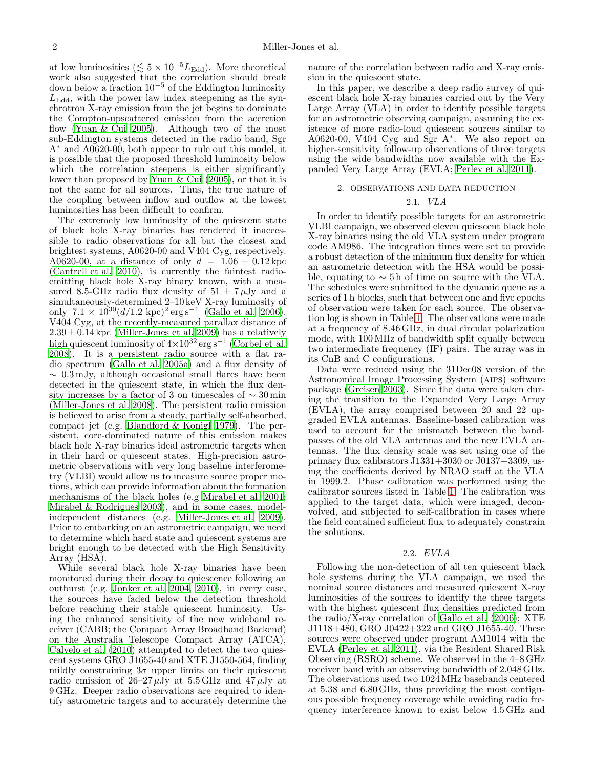at low luminosities ( $\lesssim 5 \times 10^{-5} L_{\text{Edd}}$ ). More theoretical work also suggested that the correlation should break down below a fraction  $10^{-5}$  of the Eddington luminosity  $L_{\text{Edd}}$ , with the power law index steepening as the synchrotron X-ray emission from the jet begins to dominate the Compton-upscattered emission from the accretion flow [\(Yuan & Cui 2005\)](#page-5-14). Although two of the most sub-Eddington systems detected in the radio band, Sgr A<sup>∗</sup> and A0620-00, both appear to rule out this model, it is possible that the proposed threshold luminosity below which the correlation steepens is either significantly lower than proposed by [Yuan & Cui \(2005](#page-5-14)), or that it is not the same for all sources. Thus, the true nature of the coupling between inflow and outflow at the lowest luminosities has been difficult to confirm.

The extremely low luminosity of the quiescent state of black hole X-ray binaries has rendered it inaccessible to radio observations for all but the closest and brightest systems, A0620-00 and V404 Cyg, respectively. A0620-00, at a distance of only  $d = 1.06 \pm 0.12$  kpc [\(Cantrell et al. 2010\)](#page-5-15), is currently the faintest radioemitting black hole X-ray binary known, with a measured 8.5-GHz radio flux density of  $51 \pm 7 \mu$ Jy and a simultaneously-determined 2–10 keV X-ray luminosity of only  $7.1 \times 10^{30} (d/1.2 \text{ kpc})^2 \text{ erg s}^{-1}$  [\(Gallo et al. 2006\)](#page-5-8). V404 Cyg, at the recently-measured parallax distance of  $2.39 \pm 0.14$  kpc [\(Miller-Jones et al. 2009\)](#page-5-16) has a relatively high quiescent luminosity of  $4 \times 10^{32}$  erg s<sup>-1</sup> [\(Corbel et al.](#page-5-17) [2008\)](#page-5-17). It is a persistent radio source with a flat radio spectrum [\(Gallo et al. 2005a](#page-5-18)) and a flux density of  $\sim 0.3 \,\mathrm{mJy}$ , although occasional small flares have been detected in the quiescent state, in which the flux density increases by a factor of 3 on timescales of  $\sim 30 \, \rm{min}$ [\(Miller-Jones et al. 2008](#page-5-19)). The persistent radio emission is believed to arise from a steady, partially self-absorbed, compact jet (e.g. [Blandford & Konigl 1979\)](#page-5-20). The persistent, core-dominated nature of this emission makes black hole X-ray binaries ideal astrometric targets when in their hard or quiescent states. High-precision astrometric observations with very long baseline interferometry (VLBI) would allow us to measure source proper motions, which can provide information about the formation mechanisms of the black holes (e.g [Mirabel et al. 2001;](#page-5-21) [Mirabel & Rodrigues 2003\)](#page-5-22), and in some cases, modelindependent distances (e.g. [Miller-Jones et al. 2009\)](#page-5-16). Prior to embarking on an astrometric campaign, we need to determine which hard state and quiescent systems are bright enough to be detected with the High Sensitivity Array (HSA).

While several black hole X-ray binaries have been monitored during their decay to quiescence following an outburst (e.g. [Jonker et al. 2004,](#page-5-23) [2010\)](#page-5-24), in every case, the sources have faded below the detection threshold before reaching their stable quiescent luminosity. Using the enhanced sensitivity of the new wideband receiver (CABB; the Compact Array Broadband Backend) on the Australia Telescope Compact Array (ATCA), [Calvelo et al. \(2010\)](#page-5-25) attempted to detect the two quiescent systems GRO J1655-40 and XTE J1550-564, finding mildly constraining  $3\sigma$  upper limits on their quiescent radio emission of  $26-27 \mu Jy$  at  $5.5 \text{ GHz}$  and  $47 \mu Jy$  at 9 GHz. Deeper radio observations are required to identify astrometric targets and to accurately determine the nature of the correlation between radio and X-ray emission in the quiescent state.

In this paper, we describe a deep radio survey of quiescent black hole X-ray binaries carried out by the Very Large Array (VLA) in order to identify possible targets for an astrometric observing campaign, assuming the existence of more radio-loud quiescent sources similar to A0620-00, V404 Cyg and Sgr A<sup>∗</sup> . We also report on higher-sensitivity follow-up observations of three targets using the wide bandwidths now available with the Expanded Very Large Array (EVLA; [Perley et al. 2011\)](#page-5-26).

## 2. OBSERVATIONS AND DATA REDUCTION

# 2.1. VLA

In order to identify possible targets for an astrometric VLBI campaign, we observed eleven quiescent black hole X-ray binaries using the old VLA system under program code AM986. The integration times were set to provide a robust detection of the minimum flux density for which an astrometric detection with the HSA would be possible, equating to  $\sim$  5 h of time on source with the VLA. The schedules were submitted to the dynamic queue as a series of 1 h blocks, such that between one and five epochs of observation were taken for each source. The observation log is shown in Table [1.](#page-2-0) The observations were made at a frequency of 8.46 GHz, in dual circular polarization mode, with 100MHz of bandwidth split equally between two intermediate frequency (IF) pairs. The array was in its CnB and C configurations.

Data were reduced using the 31Dec08 version of the Astronomical Image Processing System (aips) software package [\(Greisen 2003\)](#page-5-27). Since the data were taken during the transition to the Expanded Very Large Array (EVLA), the array comprised between 20 and 22 upgraded EVLA antennas. Baseline-based calibration was used to account for the mismatch between the bandpasses of the old VLA antennas and the new EVLA antennas. The flux density scale was set using one of the primary flux calibrators J1331+3030 or J0137+3309, using the coefficients derived by NRAO staff at the VLA in 1999.2. Phase calibration was performed using the calibrator sources listed in Table [1.](#page-2-0) The calibration was applied to the target data, which were imaged, deconvolved, and subjected to self-calibration in cases where the field contained sufficient flux to adequately constrain the solutions.

### 2.2. EVLA

Following the non-detection of all ten quiescent black hole systems during the VLA campaign, we used the nominal source distances and measured quiescent X-ray luminosities of the sources to identify the three targets with the highest quiescent flux densities predicted from the radio/X-ray correlation of [Gallo et al. \(2006\)](#page-5-8); XTE J1118+480, GRO J0422+322 and GRO J1655-40. These sources were observed under program AM1014 with the EVLA [\(Perley et al. 2011\)](#page-5-26), via the Resident Shared Risk Observing (RSRO) scheme. We observed in the 4–8 GHz receiver band with an observing bandwidth of 2.048 GHz. The observations used two 1024MHz basebands centered at 5.38 and 6.80 GHz, thus providing the most contiguous possible frequency coverage while avoiding radio frequency interference known to exist below 4.5 GHz and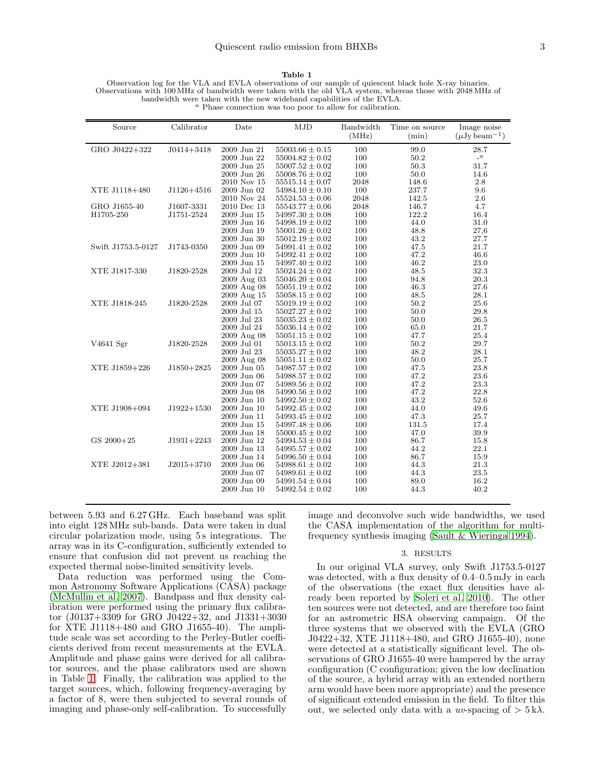Table 1

<span id="page-2-0"></span>Observation log for the VLA and EVLA observations of our sample of quiescent black hole X-ray binaries. Observations with 100 MHz of bandwidth were taken with the old VLA system, whereas those with 2048 MHz of bandwidth were taken with the new wideband capabilities of the EVLA.<br>  $\alpha$  Phase connection was too poor to allow for calibration.

| Source             | Calibrator     | Date              | MJD                 | Bandwidth<br>(MHz) | Time on source<br>(min) | Image noise<br>$(\mu Jv \, {\rm beam}^{-1})$ |
|--------------------|----------------|-------------------|---------------------|--------------------|-------------------------|----------------------------------------------|
| GRO J0422+322      | $J0414 + 3418$ | 2009 Jun 21       | $55003.66 \pm 0.15$ | 100                | 99.0                    | 28.7                                         |
|                    |                | 2009 Jun 22       | $55004.82 \pm 0.02$ | 100                | 50.2                    | $\mathcal{L}^a$                              |
|                    |                | 2009 Jun 25       | $55007.52 \pm 0.02$ | 100                | 50.3                    | 31.7                                         |
|                    |                | 2009 Jun 26       | $55008.76 \pm 0.02$ | 100                | 50.0                    | 14.6                                         |
|                    |                | 2010 Nov 15       | $55515.14 \pm 0.07$ | 2048               | 148.6                   | 2.8                                          |
| XTE J1118+480      | $J1126 + 4516$ | 2009 Jun 02       | $54984.10 \pm 0.10$ | 100                | 237.7                   | 9.6                                          |
|                    |                | 2010 Nov 24       | $55524.53 \pm 0.06$ | 2048               | 142.5                   | 2.6                                          |
| GRO J1655-40       | J1607-3331     | 2010 Dec 13       | $55543.77 \pm 0.06$ | 2048               | 146.7                   | 4.7                                          |
| H1705-250          | J1751-2524     | 2009 Jun 15       | $54997.30 \pm 0.08$ | 100                | 122.2                   | 16.4                                         |
|                    |                | 2009 Jun 16       | $54998.19 \pm 0.02$ | 100                | 44.0                    | 31.0                                         |
|                    |                | $2009$ Jun $19\,$ | $55001.26 \pm 0.02$ | 100                | 48.8                    | 27,6                                         |
|                    |                | 2009 Jun 30       | $55012.19 \pm 0.02$ | 100                | 43.2                    | 27.7                                         |
| Swift J1753.5-0127 | J1743-0350     | 2009 Jun 09       | $54991.41 \pm 0.02$ | 100                | 47.5                    | 21.7                                         |
|                    |                | 2009 Jun 10       | $54992.41 \pm 0.02$ | 100                | 47.2                    | 46.6                                         |
|                    |                | 2009 Jun 15       | $54997.40 \pm 0.02$ | 100                | 46.2                    | 23.0                                         |
| XTE J1817-330      | J1820-2528     | 2009 Jul 12       | $55024.24 \pm 0.02$ | 100                | 48.5                    | 32.3                                         |
|                    |                | 2009 Aug 03       | $55046.20 \pm 0.04$ | 100                | 94.8                    | 20.3                                         |
|                    |                | 2009 Aug 08       | $55051.19 \pm 0.02$ | 100                | 46.3                    | 27.6                                         |
|                    |                | 2009 Aug 15       | $55058.15 \pm 0.02$ | 100                | 48.5                    | 28.1                                         |
| XTE J1818-245      | J1820-2528     | 2009 Jul 07       | $55019.19 \pm 0.02$ | 100                | 50.2                    | 25.6                                         |
|                    |                | 2009 Jul 15       | $55027.27 \pm 0.02$ | 100                | 50.0                    | 29.8                                         |
|                    |                | 2009 Jul 23       | $55035.23 \pm 0.02$ | 100                | 50.0                    | 26.5                                         |
|                    |                | 2009 Jul 24       | $55036.14 \pm 0.02$ | 100                | 65.0                    | 21.7                                         |
|                    |                | 2009 Aug 08       | $55051.15 \pm 0.02$ | 100                | 47.7                    | 25.4                                         |
| V4641 Sgr          | J1820-2528     | 2009 Jul 01       | $55013.15 \pm 0.02$ | 100                | 50.2                    | 29.7                                         |
|                    |                | 2009 Jul 23       | $55035.27 \pm 0.02$ | 100                | 48.2                    | 28.1                                         |
|                    |                | 2009 Aug 08       | $55051.11 \pm 0.02$ | 100                | 50.0                    | 25.7                                         |
| XTE J1859+226      | $J1850 + 2825$ | 2009 Jun 05       | $54987.57 \pm 0.02$ | 100                | 47.5                    | 23.8                                         |
|                    |                | 2009 Jun 06       | $54988.57 \pm 0.02$ | 100                | 47.2                    | 23.6                                         |
|                    |                | 2009 Jun 07       | $54989.56 \pm 0.02$ | 100                | 47.2                    | 23.3                                         |
|                    |                | 2009 Jun 08       | $54990.56 \pm 0.02$ | 100                | 47.2                    | 22.8                                         |
|                    |                | 2009 Jun 10       | $54992.50 \pm 0.02$ | 100                | 43.2                    | 52.6                                         |
| XTE J1908+094      | $J1922+1530$   | 2009 Jun 10       | $54992.45 \pm 0.02$ | 100                | 44.0                    | 49.6                                         |
|                    |                | 2009 Jun 11       | $54993.45 \pm 0.02$ | 100                | 47.3                    | 25.7                                         |
|                    |                | 2009 Jun 15       | $54997.48 \pm 0.06$ | 100                | 131.5                   | 17.4                                         |
|                    |                | 2009 Jun 18       | $55000.45 \pm 0.02$ | 100                | 47.0                    | 39.9                                         |
| GS 2000+25         | $J1931+2243$   | 2009 Jun 12       | $54994.53 \pm 0.04$ | 100                | 86.7                    | 15.8                                         |
|                    |                | 2009 Jun 13       | $54995.57 \pm 0.02$ | 100                | 44.2                    | 22.1                                         |
|                    |                | 2009 Jun 14       | $54996.50 \pm 0.04$ | 100                | 86.7                    | 15.9                                         |
| XTE J2012+381      | $J2015+3710$   | 2009 Jun 06       | $54988.61 \pm 0.02$ | 100                | 44.3                    | 21.3                                         |
|                    |                | 2009 Jun 07       | $54989.61 \pm 0.02$ | 100                | 44.3                    | 23.5                                         |
|                    |                | 2009 Jun 09       | $54991.54 \pm 0.04$ | 100                | 89.0                    | 16.2                                         |
|                    |                | 2009 Jun 10       | $54992.54 \pm 0.02$ | 100                | 44.3                    | 40.2                                         |
|                    |                |                   |                     |                    |                         |                                              |

between 5.93 and 6.27 GHz. Each baseband was split into eight 128MHz sub-bands. Data were taken in dual circular polarization mode, using 5 s integrations. The array was in its C-configuration, sufficiently extended to ensure that confusion did not prevent us reaching the expected thermal noise-limited sensitivity levels.

Data reduction was performed using the Common Astronomy Software Applications (CASA) package [\(McMullin et al. 2007](#page-5-28)). Bandpass and flux density calibration were performed using the primary flux calibrator (J0137+3309 for GRO J0422+32, and J1331+3030 for XTE J1118+480 and GRO J1655-40). The amplitude scale was set according to the Perley-Butler coefficients derived from recent measurements at the EVLA. Amplitude and phase gains were derived for all calibrator sources, and the phase calibrators used are shown in Table [1.](#page-2-0) Finally, the calibration was applied to the target sources, which, following frequency-averaging by a factor of 8, were then subjected to several rounds of imaging and phase-only self-calibration. To successfully

image and deconvolve such wide bandwidths, we used the CASA implementation of the algorithm for multifrequency synthesis imaging [\(Sault & Wieringa 1994\)](#page-5-29).

## 3. RESULTS

In our original VLA survey, only Swift J1753.5-0127 was detected, with a flux density of 0.4–0.5 mJy in each of the observations (the exact flux densities have already been reported by [Soleri et al. 2010\)](#page-5-30). The other ten sources were not detected, and are therefore too faint for an astrometric HSA observing campaign. Of the three systems that we observed with the EVLA (GRO J0422+32, XTE J1118+480, and GRO J1655-40), none were detected at a statistically significant level. The observations of GRO J1655-40 were hampered by the array configuration (C configuration; given the low declination of the source, a hybrid array with an extended northern arm would have been more appropriate) and the presence of significant extended emission in the field. To filter this out, we selected only data with a uv-spacing of  $> 5 \text{ k}\lambda$ .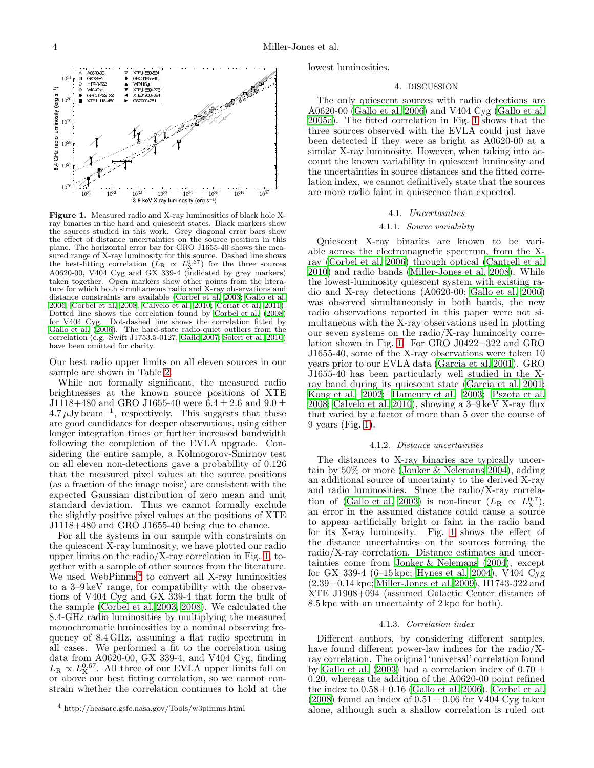

<span id="page-3-0"></span>Figure 1. Measured radio and X-ray luminosities of black hole Xray binaries in the hard and quiescent states. Black markers show the sources studied in this work. Grey diagonal error bars show the effect of distance uncertainties on the source position in this plane. The horizontal error bar for GRO J1655-40 shows the measured range of X-ray luminosity for this source. Dashed line shows<br>the best-fitting correlation  $(L_R \propto L_X^{0.67})$  for the three sources A0620-00, V404 Cyg and GX 339-4 (indicated by grey markers) taken together. Open markers show other points from the literature for which both simultaneous radio and X-ray observations and distance constraints are available [\(Corbel et al. 2003;](#page-5-7) [Gallo et al.](#page-5-8) [2006;](#page-5-8) [Corbel et al. 2008](#page-5-17); [Calvelo et al. 2010](#page-5-25); [Coriat et al. 2011](#page-5-13)). Dotted line shows the correlation found by [Corbel et al. \(2008\)](#page-5-17) for V404 Cyg. Dot-dashed line shows the correlation fitted by Gallo et al.  $(2006)$ . The hard-state radio-quiet outliers from the correlation (e.g. Swift J1753.5-0127; [Gallo 2007](#page-5-12); [Soleri et al. 2010\)](#page-5-30) have been omitted for clarity.

Our best radio upper limits on all eleven sources in our sample are shown in Table [2.](#page-4-0)

While not formally significant, the measured radio brightnesses at the known source positions of XTE J1118+480 and GRO J1655-40 were  $6.4 \pm 2.6$  and  $9.0 \pm$  $4.7 \mu$ Jy beam<sup>-1</sup>, respectively. This suggests that these are good candidates for deeper observations, using either longer integration times or further increased bandwidth following the completion of the EVLA upgrade. Considering the entire sample, a Kolmogorov-Smirnov test on all eleven non-detections gave a probability of 0.126 that the measured pixel values at the source positions (as a fraction of the image noise) are consistent with the expected Gaussian distribution of zero mean and unit standard deviation. Thus we cannot formally exclude the slightly positive pixel values at the positions of XTE J1118+480 and GRO J1655-40 being due to chance.

For all the systems in our sample with constraints on the quiescent X-ray luminosity, we have plotted our radio upper limits on the radio/X-ray correlation in Fig. [1,](#page-3-0) together with a sample of other sources from the literature. We used WebPimms<sup>[4](#page-3-1)</sup> to convert all X-ray luminosities to a 3–9 keV range, for compatibility with the observations of V404 Cyg and GX 339-4 that form the bulk of the sample [\(Corbel et al. 2003,](#page-5-7) [2008\)](#page-5-17). We calculated the 8.4-GHz radio luminosities by multiplying the measured monochromatic luminosities by a nominal observing frequency of 8.4 GHz, assuming a flat radio spectrum in all cases. We performed a fit to the correlation using data from A0620-00, GX 339-4, and V404 Cyg, finding  $L_{\rm R} \propto L_{\rm X}^{0.67}$ . All three of our EVLA upper limits fall on or above our best fitting correlation, so we cannot constrain whether the correlation continues to hold at the

lowest luminosities.

## 4. DISCUSSION

The only quiescent sources with radio detections are A0620-00 [\(Gallo et al. 2006](#page-5-8)) and V404 Cyg [\(Gallo et al.](#page-5-18) [2005a\)](#page-5-18). The fitted correlation in Fig. [1](#page-3-0) shows that the three sources observed with the EVLA could just have been detected if they were as bright as A0620-00 at a similar X-ray luminosity. However, when taking into account the known variability in quiescent luminosity and the uncertainties in source distances and the fitted correlation index, we cannot definitively state that the sources are more radio faint in quiescence than expected.

## 4.1. Uncertainties

## 4.1.1. Source variability

Quiescent X-ray binaries are known to be variable across the electromagnetic spectrum, from the Xray [\(Corbel et al. 2006\)](#page-5-31) through optical [\(Cantrell et al.](#page-5-15) [2010\)](#page-5-15) and radio bands [\(Miller-Jones et al. 2008\)](#page-5-19). While the lowest-luminosity quiescent system with existing radio and X-ray detections (A0620-00; [Gallo et al. 2006](#page-5-8)) was observed simultaneously in both bands, the new radio observations reported in this paper were not simultaneous with the X-ray observations used in plotting our seven systems on the radio/X-ray luminosity correlation shown in Fig. [1.](#page-3-0) For GRO J0422+322 and GRO J1655-40, some of the X-ray observations were taken 10 years prior to our EVLA data [\(Garcia et al. 2001\)](#page-5-32). GRO J1655-40 has been particularly well studied in the Xray band during its quiescent state [\(Garcia et al. 2001](#page-5-32); [Kong et al. 2002;](#page-5-33) [Hameury et al. 2003](#page-5-34); [Pszota et al.](#page-5-35) [2008;](#page-5-35) [Calvelo et al. 2010\)](#page-5-25), showing a 3–9 keV X-ray flux that varied by a factor of more than 5 over the course of 9 years (Fig. [1\)](#page-3-0).

#### 4.1.2. Distance uncertainties

The distances to X-ray binaries are typically uncertain by 50% or more [\(Jonker & Nelemans 2004\)](#page-5-36), adding an additional source of uncertainty to the derived X-ray and radio luminosities. Since the radio/X-ray correla-tion of [\(Gallo et al. 2003](#page-5-6)) is non-linear  $(L_R \propto L_X^{0.7})$ , an error in the assumed distance could cause a source to appear artificially bright or faint in the radio band for its X-ray luminosity. Fig. [1](#page-3-0) shows the effect of the distance uncertainties on the sources forming the radio/X-ray correlation. Distance estimates and uncertainties come from [Jonker & Nelemans \(2004\)](#page-5-36), except for GX 339-4 (6–15 kpc; [Hynes et al. 2004](#page-5-37)), V404 Cyg  $(2.39\pm0.14 \,\mathrm{kpc};$  [Miller-Jones et al. 2009\)](#page-5-16), H1743-322 and XTE J1908+094 (assumed Galactic Center distance of 8.5 kpc with an uncertainty of 2 kpc for both).

### 4.1.3. Correlation index

Different authors, by considering different samples, have found different power-law indices for the radio/Xray correlation. The original 'universal' correlation found by [Gallo et al. \(2003](#page-5-6)) had a correlation index of  $0.70 \pm$ 0.20, whereas the addition of the A0620-00 point refined the index to  $0.58 \pm 0.16$  [\(Gallo et al. 2006\)](#page-5-8). [Corbel et al.](#page-5-17) [\(2008\)](#page-5-17) found an index of  $0.51 \pm 0.06$  for V404 Cyg taken alone, although such a shallow correlation is ruled out

<span id="page-3-1"></span><sup>4</sup> http://heasarc.gsfc.nasa.gov/Tools/w3pimms.html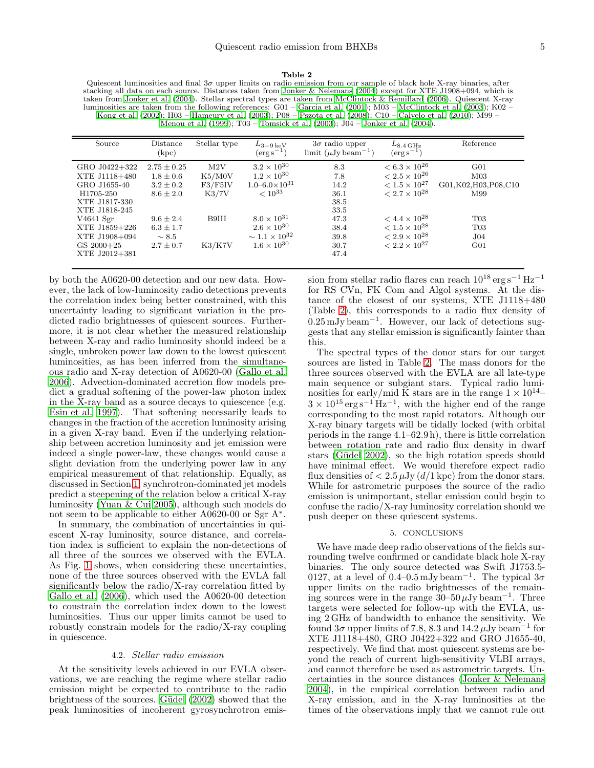#### Table 2

<span id="page-4-0"></span>Quiescent luminosities and final 3σ upper limits on radio emission from our sample of black hole X-ray binaries, after stacking all data on each source. Distances taken from [Jonker & Nelemans \(2004](#page-5-36)) except for XTE J1908+094, which is taken from [Jonker et al. \(2004](#page-5-23)). Stellar spectral types are taken from [McClintock & Remillard \(2006\)](#page-5-38). Quiescent X-ray luminosities are taken from the following references: G01 – [Garcia et al. \(2001](#page-5-32)); M03 – [McClintock et al. \(2003](#page-5-39)); K02 – [Kong et al. \(2002](#page-5-33)); H03 – [Hameury et al. \(2003](#page-5-34)); P08 – [Pszota et](#page-5-35) al. [\(2008](#page-5-35)); C10 – [Calvelo et al. \(2010\)](#page-5-25); M99 – Menou et al.  $(1999)$ ; T03 – Tomsick et al.  $(2003)$ ; J04 – Jonker et al.  $(2004)$ .

| Source                                                                                                                                                          | Distance<br>(kpc)                                                                                                                   | Stellar type                                         | $L_{3-9\,\mathrm{keV}}$<br>$(\text{erg}\,\text{s}^{-1})$                                                                                                                                       | $3\sigma$ radio upper<br>limit $(\mu Jy beam^{-1})$                        | $L_{8.4\,\mathrm{GHz}}$<br>$(\rm erg\,s^{-1})$                                                                                                                                                               | Reference                                                                                                                        |
|-----------------------------------------------------------------------------------------------------------------------------------------------------------------|-------------------------------------------------------------------------------------------------------------------------------------|------------------------------------------------------|------------------------------------------------------------------------------------------------------------------------------------------------------------------------------------------------|----------------------------------------------------------------------------|--------------------------------------------------------------------------------------------------------------------------------------------------------------------------------------------------------------|----------------------------------------------------------------------------------------------------------------------------------|
| GRO J0422+322<br>XTE J1118+480<br>GRO J1655-40<br>H1705-250<br>XTE J1817-330<br>XTE J1818-245<br>$V4641$ Sgr<br>XTE J1859+226<br>XTE J1908+094<br>$GS\ 2000+25$ | $2.75 \pm 0.25$<br>$1.8 \pm 0.6$<br>$3.2 \pm 0.2$<br>$8.6 \pm 2.0$<br>$9.6 \pm 2.4$<br>$6.3 \pm 1.7$<br>$\sim 8.5$<br>$2.7 \pm 0.7$ | M2V<br>K5/M0V<br>F3/F5IV<br>K3/7V<br>B9III<br>K3/K7V | $3.2 \times 10^{30}$<br>$1.2 \times 10^{30}$<br>$1.0 - 6.0 \times 10^{31}$<br>$< 10^{33}$<br>$8.0 \times 10^{31}$<br>$2.6 \times 10^{30}$<br>$\sim 1.1 \times 10^{32}$<br>$1.6 \times 10^{30}$ | 8.3<br>7.8<br>14.2<br>36.1<br>38.5<br>33.5<br>47.3<br>38.4<br>39.8<br>30.7 | $< 6.3 \times 10^{26}$<br>$< 2.5 \times 10^{26}$<br>$< 1.5 \times 10^{27}$<br>$< 2.7 \times 10^{28}$<br>$< 4.4 \times 10^{28}$<br>$< 1.5 \times 10^{28}$<br>$< 2.9 \times 10^{28}$<br>$< 2.2 \times 10^{27}$ | G <sub>01</sub><br>M <sub>03</sub><br>G01,K02,H03,P08,C10<br>M99<br>T <sub>03</sub><br>T <sub>03</sub><br>J04<br>G <sub>01</sub> |
| XTE J2012+381                                                                                                                                                   |                                                                                                                                     |                                                      |                                                                                                                                                                                                | 47.4                                                                       |                                                                                                                                                                                                              |                                                                                                                                  |

by both the A0620-00 detection and our new data. However, the lack of low-luminosity radio detections prevents the correlation index being better constrained, with this uncertainty leading to significant variation in the predicted radio brightnesses of quiescent sources. Furthermore, it is not clear whether the measured relationship between X-ray and radio luminosity should indeed be a single, unbroken power law down to the lowest quiescent luminosities, as has been inferred from the simultaneous radio and X-ray detection of A0620-00 [\(Gallo et al.](#page-5-8) [2006\)](#page-5-8). Advection-dominated accretion flow models predict a gradual softening of the power-law photon index in the X-ray band as a source decays to quiescence (e.g. [Esin et al. 1997](#page-5-42)). That softening necessarily leads to changes in the fraction of the accretion luminosity arising in a given X-ray band. Even if the underlying relationship between accretion luminosity and jet emission were indeed a single power-law, these changes would cause a slight deviation from the underlying power law in any empirical measurement of that relationship. Equally, as discussed in Section [1,](#page-0-0) synchrotron-dominated jet models predict a steepening of the relation below a critical X-ray luminosity [\(Yuan & Cui 2005\)](#page-5-14), although such models do not seem to be applicable to either A0620-00 or Sgr A<sup>\*</sup>.

In summary, the combination of uncertainties in quiescent X-ray luminosity, source distance, and correlation index is sufficient to explain the non-detections of all three of the sources we observed with the EVLA. As Fig. [1](#page-3-0) shows, when considering these uncertainties, none of the three sources observed with the EVLA fall significantly below the radio/X-ray correlation fitted by [Gallo et al. \(2006\)](#page-5-8), which used the A0620-00 detection to constrain the correlation index down to the lowest luminosities. Thus our upper limits cannot be used to robustly constrain models for the radio/X-ray coupling in quiescence.

## 4.2. Stellar radio emission

At the sensitivity levels achieved in our EVLA observations, we are reaching the regime where stellar radio emission might be expected to contribute to the radio brightness of the sources. Güdel (2002) showed that the peak luminosities of incoherent gyrosynchrotron emission from stellar radio flares can reach 10<sup>18</sup> erg s<sup>−</sup><sup>1</sup> Hz<sup>−</sup><sup>1</sup> for RS CVn, FK Com and Algol systems. At the distance of the closest of our systems, XTE J1118+480 (Table [2\)](#page-4-0), this corresponds to a radio flux density of 0.25 mJy beam<sup>−</sup><sup>1</sup> . However, our lack of detections suggests that any stellar emission is significantly fainter than this.

The spectral types of the donor stars for our target sources are listed in Table [2.](#page-4-0) The mass donors for the three sources observed with the EVLA are all late-type main sequence or subgiant stars. Typical radio luminosities for early/mid K stars are in the range  $1 \times 10^{14}$ –  $3 \times 10^{15} \text{ erg s}^{-1} \text{ Hz}^{-1}$ , with the higher end of the range corresponding to the most rapid rotators. Although our X-ray binary targets will be tidally locked (with orbital periods in the range 4.1–62.9 h), there is little correlation between rotation rate and radio flux density in dwarf stars (Güdel 2002), so the high rotation speeds should have minimal effect. We would therefore expect radio flux densities of  $\langle 2.5 \mu Jy (d/1 \text{ kpc})$  from the donor stars. While for astrometric purposes the source of the radio emission is unimportant, stellar emission could begin to confuse the radio/X-ray luminosity correlation should we push deeper on these quiescent systems.

## 5. CONCLUSIONS

We have made deep radio observations of the fields surrounding twelve confirmed or candidate black hole X-ray binaries. The only source detected was Swift J1753.5- 0127, at a level of 0.4–0.5 mJy beam<sup>-1</sup>. The typical  $3\sigma$ upper limits on the radio brightnesses of the remaining sources were in the range  $30-50 \mu Jy$  beam<sup>-1</sup>. Three targets were selected for follow-up with the EVLA, using 2 GHz of bandwidth to enhance the sensitivity. We found  $3\sigma$  upper limits of 7.8, 8.3 and  $14.2 \mu Jy$  beam<sup>-1</sup> for XTE J1118+480, GRO J0422+322 and GRO J1655-40, respectively. We find that most quiescent systems are beyond the reach of current high-sensitivity VLBI arrays, and cannot therefore be used as astrometric targets. Uncertainties in the source distances [\(Jonker & Nelemans](#page-5-36) [2004\)](#page-5-36), in the empirical correlation between radio and X-ray emission, and in the X-ray luminosities at the times of the observations imply that we cannot rule out